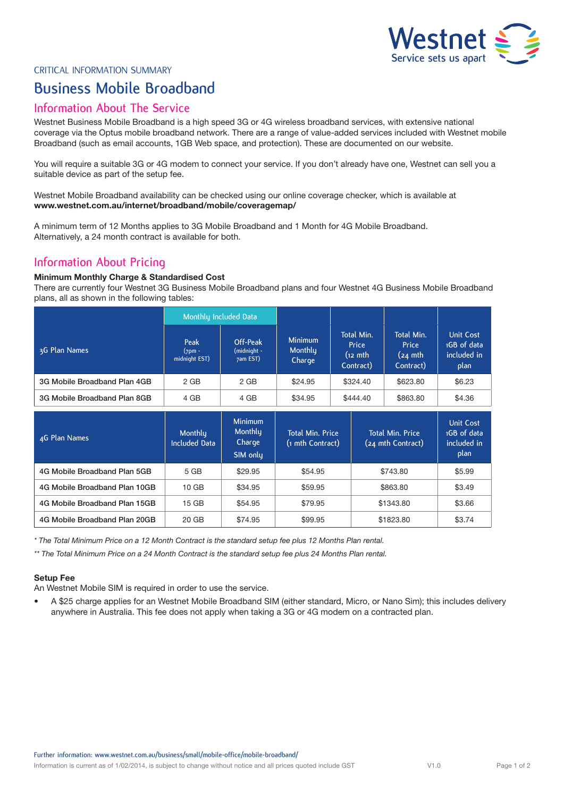

#### CRITICAL INFORMATION SUMMARY

# **Business Mobile Broadband**

### **Information About The Service**

Westnet Business Mobile Broadband is a high speed 3G or 4G wireless broadband services, with extensive national coverage via the Optus mobile broadband network. There are a range of value-added services included with Westnet mobile Broadband (such as email accounts, 1GB Web space, and protection). These are documented on our website.

You will require a suitable 3G or 4G modem to connect your service. If you don't already have one, Westnet can sell you a suitable device as part of the setup fee.

Westnet Mobile Broadband availability can be checked using our online coverage checker, which is available at **www.westnet.com.au/internet/broadband/mobile/coveragemap/**

A minimum term of 12 Months applies to 3G Mobile Broadband and 1 Month for 4G Mobile Broadband. Alternatively, a 24 month contract is available for both.

## **Information About Pricing**

#### **Minimum Monthly Charge & Standardised Cost**

There are currently four Westnet 3G Business Mobile Broadband plans and four Westnet 4G Business Mobile Broadband plans, all as shown in the following tables:

|                               | Monthly Included Data                    |                                                 |                                     |                                             |                                                        |                                                        |
|-------------------------------|------------------------------------------|-------------------------------------------------|-------------------------------------|---------------------------------------------|--------------------------------------------------------|--------------------------------------------------------|
| 3G Plan Names                 | <b>Peak</b><br>$(7pm -$<br>midnight EST) | Off-Peak<br>(midnight -<br>7am EST)             | <b>Minimum</b><br>Monthly<br>Charge | Total Min.<br>Price<br>(12 mth<br>Contract) | Total Min.<br>Price<br>$(24 \text{ mth})$<br>Contract) | <b>Unit Cost</b><br>1GB of data<br>included in<br>plan |
| 3G Mobile Broadband Plan 4GB  | 2 GB                                     | 2 GB                                            | \$24.95                             | \$324.40                                    | \$623.80                                               | \$6.23                                                 |
| 3G Mobile Broadband Plan 8GB  | 4 GB                                     | 4 GB                                            | \$34.95                             | \$444.40                                    | \$863.80                                               | \$4.36                                                 |
|                               |                                          |                                                 |                                     |                                             |                                                        |                                                        |
|                               |                                          |                                                 |                                     | <b>Total Min. Price</b><br>(1 mth Contract) |                                                        |                                                        |
| 4G Plan Names                 | <b>Monthly</b><br><b>Included Data</b>   | <b>Minimum</b><br>Monthly<br>Charge<br>SIM only |                                     |                                             | <b>Total Min. Price</b><br>(24 mth Contract)           | <b>Unit Cost</b><br>1GB of data<br>included in<br>plan |
| 4G Mobile Broadband Plan 5GB  | 5 GB                                     | \$29.95                                         | \$54.95                             |                                             | \$743.80                                               | \$5.99                                                 |
| 4G Mobile Broadband Plan 10GB | 10 <sub>GB</sub>                         | \$34.95                                         | \$59.95                             |                                             | \$863.80                                               | \$3.49                                                 |
| 4G Mobile Broadband Plan 15GB | $15$ GB                                  | \$54.95                                         | \$79.95                             |                                             | \$1343.80                                              | \$3.66                                                 |

*\* The Total Minimum Price on a 12 Month Contract is the standard setup fee plus 12 Months Plan rental.*

*\*\* The Total Minimum Price on a 24 Month Contract is the standard setup fee plus 24 Months Plan rental.*

#### **Setup Fee**

An Westnet Mobile SIM is required in order to use the service.

• A \$25 charge applies for an Westnet Mobile Broadband SIM (either standard, Micro, or Nano Sim); this includes delivery anywhere in Australia. This fee does not apply when taking a 3G or 4G modem on a contracted plan.